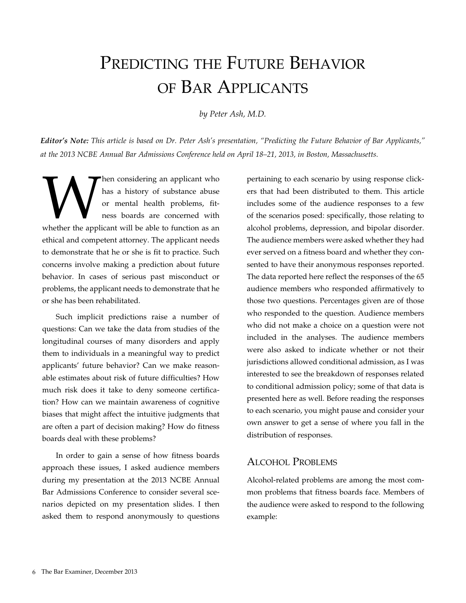# PREDICTING THE FUTURE BEHAVIOR of Bar Applicants

*by Peter Ash, M.D.*

*Editor's Note: This article is based on Dr. Peter Ash's presentation, "Predicting the Future Behavior of Bar Applicants," at the 2013 NCBE Annual Bar Admissions Conference held on April 18–21, 2013, in Boston, Massachusetts.*

When considering an applicant who has a history of substance abuse or mental health problems, fit-<br>ness boards are concerned with whether the applicant will be able to function as an has a history of substance abuse or mental health problems, fitness boards are concerned with ethical and competent attorney. The applicant needs to demonstrate that he or she is fit to practice. Such concerns involve making a prediction about future behavior. In cases of serious past misconduct or problems, the applicant needs to demonstrate that he or she has been rehabilitated.

Such implicit predictions raise a number of questions: Can we take the data from studies of the longitudinal courses of many disorders and apply them to individuals in a meaningful way to predict applicants' future behavior? Can we make reasonable estimates about risk of future difficulties? How much risk does it take to deny someone certification? How can we maintain awareness of cognitive biases that might affect the intuitive judgments that are often a part of decision making? How do fitness boards deal with these problems?

In order to gain a sense of how fitness boards approach these issues, I asked audience members during my presentation at the 2013 NCBE Annual Bar Admissions Conference to consider several scenarios depicted on my presentation slides. I then asked them to respond anonymously to questions pertaining to each scenario by using response clickers that had been distributed to them. This article includes some of the audience responses to a few of the scenarios posed: specifically, those relating to alcohol problems, depression, and bipolar disorder. The audience members were asked whether they had ever served on a fitness board and whether they consented to have their anonymous responses reported. The data reported here reflect the responses of the 65 audience members who responded affirmatively to those two questions. Percentages given are of those who responded to the question. Audience members who did not make a choice on a question were not included in the analyses. The audience members were also asked to indicate whether or not their jurisdictions allowed conditional admission, as I was interested to see the breakdown of responses related to conditional admission policy; some of that data is presented here as well. Before reading the responses to each scenario, you might pause and consider your own answer to get a sense of where you fall in the distribution of responses.

## Alcohol Problems

Alcohol-related problems are among the most common problems that fitness boards face. Members of the audience were asked to respond to the following example: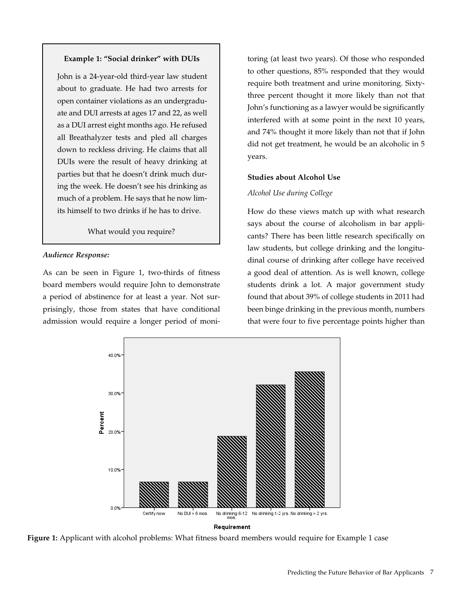#### **Example 1: "Social drinker" with DUIs**

John is a 24-year-old third-year law student about to graduate. He had two arrests for open container violations as an undergraduate and DUI arrests at ages 17 and 22, as well as a DUI arrest eight months ago. He refused all Breathalyzer tests and pled all charges down to reckless driving. He claims that all DUIs were the result of heavy drinking at parties but that he doesn't drink much during the week. He doesn't see his drinking as much of a problem. He says that he now limits himself to two drinks if he has to drive.

What would you require?

#### *Audience Response:*

As can be seen in Figure 1, two-thirds of fitness board members would require John to demonstrate a period of abstinence for at least a year. Not surprisingly, those from states that have conditional admission would require a longer period of monitoring (at least two years). Of those who responded to other questions, 85% responded that they would require both treatment and urine monitoring. Sixtythree percent thought it more likely than not that John's functioning as a lawyer would be significantly interfered with at some point in the next 10 years, and 74% thought it more likely than not that if John did not get treatment, he would be an alcoholic in 5 years.

#### **Studies about Alcohol Use**

#### *Alcohol Use during College*

How do these views match up with what research says about the course of alcoholism in bar applicants? There has been little research specifically on law students, but college drinking and the longitudinal course of drinking after college have received a good deal of attention. As is well known, college students drink a lot. A major government study found that about 39% of college students in 2011 had been binge drinking in the previous month, numbers that were four to five percentage points higher than



**Figure 1:** Applicant with alcohol problems: What fitness board members would require for Example 1 case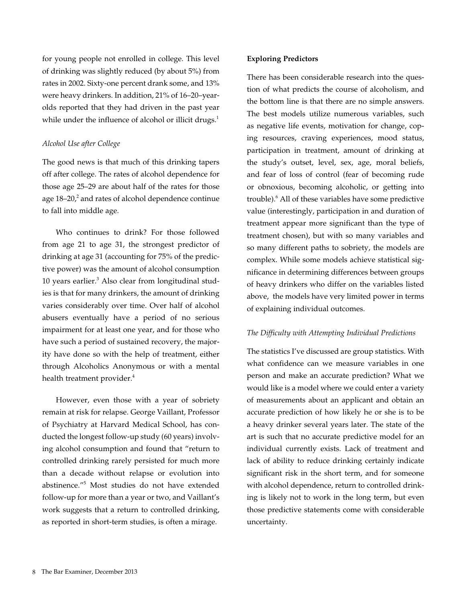for young people not enrolled in college. This level of drinking was slightly reduced (by about 5%) from rates in 2002. Sixty-one percent drank some, and 13% were heavy drinkers. In addition, 21% of 16–20–yearolds reported that they had driven in the past year while under the influence of alcohol or illicit drugs.<sup>1</sup>

#### *Alcohol Use after College*

The good news is that much of this drinking tapers off after college. The rates of alcohol dependence for those age 25–29 are about half of the rates for those age  $18-20<sup>2</sup>$  and rates of alcohol dependence continue to fall into middle age.

Who continues to drink? For those followed from age 21 to age 31, the strongest predictor of drinking at age 31 (accounting for 75% of the predictive power) was the amount of alcohol consumption 10 years earlier.<sup>3</sup> Also clear from longitudinal studies is that for many drinkers, the amount of drinking varies considerably over time. Over half of alcohol abusers eventually have a period of no serious impairment for at least one year, and for those who have such a period of sustained recovery, the majority have done so with the help of treatment, either through Alcoholics Anonymous or with a mental health treatment provider.<sup>4</sup>

However, even those with a year of sobriety remain at risk for relapse. George Vaillant, Professor of Psychiatry at Harvard Medical School, has conducted the longest follow-up study (60 years) involving alcohol consumption and found that "return to controlled drinking rarely persisted for much more than a decade without relapse or evolution into abstinence."<sup>5</sup> Most studies do not have extended follow-up for more than a year or two, and Vaillant's work suggests that a return to controlled drinking, as reported in short-term studies, is often a mirage.

#### **Exploring Predictors**

There has been considerable research into the question of what predicts the course of alcoholism, and the bottom line is that there are no simple answers. The best models utilize numerous variables, such as negative life events, motivation for change, coping resources, craving experiences, mood status, participation in treatment, amount of drinking at the study's outset, level, sex, age, moral beliefs, and fear of loss of control (fear of becoming rude or obnoxious, becoming alcoholic, or getting into trouble).<sup>6</sup> All of these variables have some predictive value (interestingly, participation in and duration of treatment appear more significant than the type of treatment chosen), but with so many variables and so many different paths to sobriety, the models are complex. While some models achieve statistical significance in determining differences between groups of heavy drinkers who differ on the variables listed above, the models have very limited power in terms of explaining individual outcomes.

#### *The Difficulty with Attempting Individual Predictions*

The statistics I've discussed are group statistics. With what confidence can we measure variables in one person and make an accurate prediction? What we would like is a model where we could enter a variety of measurements about an applicant and obtain an accurate prediction of how likely he or she is to be a heavy drinker several years later. The state of the art is such that no accurate predictive model for an individual currently exists. Lack of treatment and lack of ability to reduce drinking certainly indicate significant risk in the short term, and for someone with alcohol dependence, return to controlled drinking is likely not to work in the long term, but even those predictive statements come with considerable uncertainty.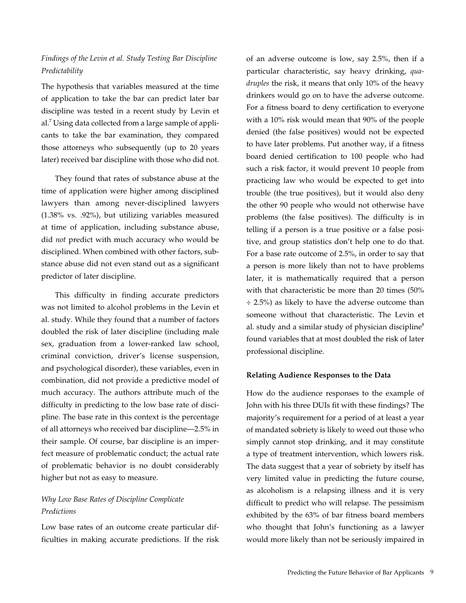## *Findings of the Levin et al. Study Testing Bar Discipline Predictability*

The hypothesis that variables measured at the time of application to take the bar can predict later bar discipline was tested in a recent study by Levin et al.<sup>7</sup> Using data collected from a large sample of applicants to take the bar examination, they compared those attorneys who subsequently (up to 20 years later) received bar discipline with those who did not.

They found that rates of substance abuse at the time of application were higher among disciplined lawyers than among never-disciplined lawyers (1.38% vs. .92%), but utilizing variables measured at time of application, including substance abuse, did *not* predict with much accuracy who would be disciplined. When combined with other factors, substance abuse did not even stand out as a significant predictor of later discipline.

This difficulty in finding accurate predictors was not limited to alcohol problems in the Levin et al. study. While they found that a number of factors doubled the risk of later discipline (including male sex, graduation from a lower-ranked law school, criminal conviction, driver's license suspension, and psychological disorder), these variables, even in combination, did not provide a predictive model of much accuracy. The authors attribute much of the difficulty in predicting to the low base rate of discipline. The base rate in this context is the percentage of all attorneys who received bar discipline—2.5% in their sample. Of course, bar discipline is an imperfect measure of problematic conduct; the actual rate of problematic behavior is no doubt considerably higher but not as easy to measure.

## *Why Low Base Rates of Discipline Complicate Predictions*

Low base rates of an outcome create particular difficulties in making accurate predictions. If the risk

of an adverse outcome is low, say 2.5%, then if a particular characteristic, say heavy drinking, *quadruples* the risk, it means that only 10% of the heavy drinkers would go on to have the adverse outcome. For a fitness board to deny certification to everyone with a 10% risk would mean that 90% of the people denied (the false positives) would not be expected to have later problems. Put another way, if a fitness board denied certification to 100 people who had such a risk factor, it would prevent 10 people from practicing law who would be expected to get into trouble (the true positives), but it would also deny the other 90 people who would not otherwise have problems (the false positives). The difficulty is in telling if a person is a true positive or a false positive, and group statistics don't help one to do that. For a base rate outcome of 2.5%, in order to say that a person is more likely than not to have problems later, it is mathematically required that a person with that characteristic be more than 20 times (50%  $\div$  2.5%) as likely to have the adverse outcome than someone without that characteristic. The Levin et al. study and a similar study of physician discipline<sup>8</sup> found variables that at most doubled the risk of later professional discipline.

#### **Relating Audience Responses to the Data**

How do the audience responses to the example of John with his three DUIs fit with these findings? The majority's requirement for a period of at least a year of mandated sobriety is likely to weed out those who simply cannot stop drinking, and it may constitute a type of treatment intervention, which lowers risk. The data suggest that a year of sobriety by itself has very limited value in predicting the future course, as alcoholism is a relapsing illness and it is very difficult to predict who will relapse. The pessimism exhibited by the 63% of bar fitness board members who thought that John's functioning as a lawyer would more likely than not be seriously impaired in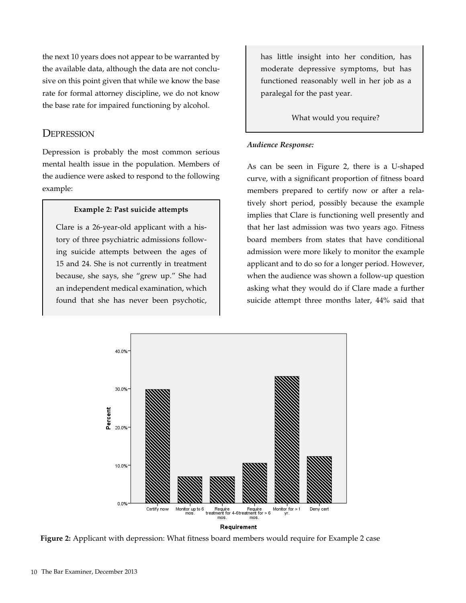the next 10 years does not appear to be warranted by the available data, although the data are not conclusive on this point given that while we know the base rate for formal attorney discipline, we do not know the base rate for impaired functioning by alcohol.

## **DEPRESSION**

Depression is probably the most common serious mental health issue in the population. Members of the audience were asked to respond to the following example:

#### **Example 2: Past suicide attempts**

Clare is a 26-year-old applicant with a history of three psychiatric admissions following suicide attempts between the ages of 15 and 24. She is not currently in treatment because, she says, she "grew up." She had an independent medical examination, which found that she has never been psychotic, has little insight into her condition, has moderate depressive symptoms, but has functioned reasonably well in her job as a paralegal for the past year.

What would you require?

#### *Audience Response:*

As can be seen in Figure 2, there is a U-shaped curve, with a significant proportion of fitness board members prepared to certify now or after a relatively short period, possibly because the example implies that Clare is functioning well presently and that her last admission was two years ago. Fitness board members from states that have conditional admission were more likely to monitor the example applicant and to do so for a longer period. However, when the audience was shown a follow-up question asking what they would do if Clare made a further suicide attempt three months later, 44% said that



**Figure 2:** Applicant with depression: What fitness board members would require for Example 2 case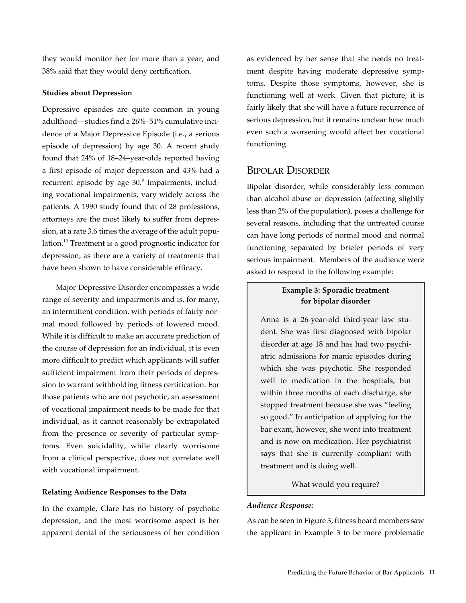they would monitor her for more than a year, and 38% said that they would deny certification.

#### **Studies about Depression**

Depressive episodes are quite common in young adulthood—studies find a 26%–51% cumulative incidence of a Major Depressive Episode (i.e., a serious episode of depression) by age 30. A recent study found that 24% of 18–24–year-olds reported having a first episode of major depression and 43% had a recurrent episode by age 30.<sup>9</sup> Impairments, including vocational impairments, vary widely across the patients. A 1990 study found that of 28 professions, attorneys are the most likely to suffer from depression, at a rate 3.6 times the average of the adult population.10 Treatment is a good prognostic indicator for depression, as there are a variety of treatments that have been shown to have considerable efficacy.

Major Depressive Disorder encompasses a wide range of severity and impairments and is, for many, an intermittent condition, with periods of fairly normal mood followed by periods of lowered mood. While it is difficult to make an accurate prediction of the course of depression for an individual, it is even more difficult to predict which applicants will suffer sufficient impairment from their periods of depression to warrant withholding fitness certification. For those patients who are not psychotic, an assessment of vocational impairment needs to be made for that individual, as it cannot reasonably be extrapolated from the presence or severity of particular symptoms. Even suicidality, while clearly worrisome from a clinical perspective, does not correlate well with vocational impairment.

#### **Relating Audience Responses to the Data**

In the example, Clare has no history of psychotic depression, and the most worrisome aspect is her apparent denial of the seriousness of her condition as evidenced by her sense that she needs no treatment despite having moderate depressive symptoms. Despite those symptoms, however, she is functioning well at work. Given that picture, it is fairly likely that she will have a future recurrence of serious depression, but it remains unclear how much even such a worsening would affect her vocational functioning.

## Bipolar Disorder

Bipolar disorder, while considerably less common than alcohol abuse or depression (affecting slightly less than 2% of the population), poses a challenge for several reasons, including that the untreated course can have long periods of normal mood and normal functioning separated by briefer periods of very serious impairment. Members of the audience were asked to respond to the following example:

## **Example 3: Sporadic treatment for bipolar disorder**

Anna is a 26-year-old third-year law student. She was first diagnosed with bipolar disorder at age 18 and has had two psychiatric admissions for manic episodes during which she was psychotic. She responded well to medication in the hospitals, but within three months of each discharge, she stopped treatment because she was "feeling so good." In anticipation of applying for the bar exam, however, she went into treatment and is now on medication. Her psychiatrist says that she is currently compliant with treatment and is doing well.

#### What would you require?

#### *Audience Response:*

As can be seen in Figure 3, fitness board members saw the applicant in Example 3 to be more problematic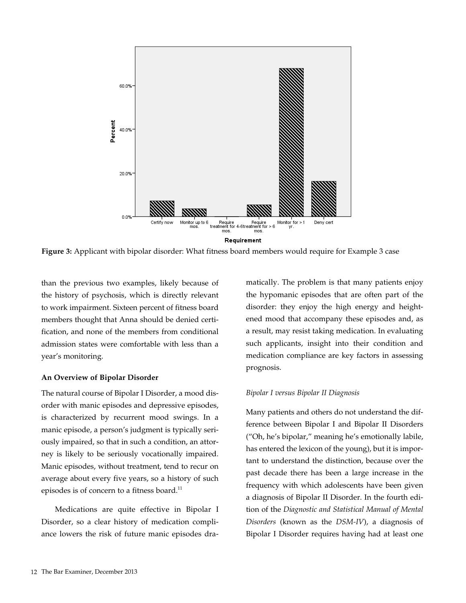

**Figure 3:** Applicant with bipolar disorder: What fitness board members would require for Example 3 case

than the previous two examples, likely because of the history of psychosis, which is directly relevant to work impairment. Sixteen percent of fitness board members thought that Anna should be denied certification, and none of the members from conditional admission states were comfortable with less than a year's monitoring.

#### **An Overview of Bipolar Disorder**

The natural course of Bipolar I Disorder, a mood disorder with manic episodes and depressive episodes, is characterized by recurrent mood swings. In a manic episode, a person's judgment is typically seriously impaired, so that in such a condition, an attorney is likely to be seriously vocationally impaired. Manic episodes, without treatment, tend to recur on average about every five years, so a history of such episodes is of concern to a fitness board.<sup>11</sup>

Medications are quite effective in Bipolar I Disorder, so a clear history of medication compliance lowers the risk of future manic episodes dramatically. The problem is that many patients enjoy the hypomanic episodes that are often part of the disorder: they enjoy the high energy and heightened mood that accompany these episodes and, as a result, may resist taking medication. In evaluating such applicants, insight into their condition and medication compliance are key factors in assessing prognosis.

#### *Bipolar I versus Bipolar II Diagnosis*

Many patients and others do not understand the difference between Bipolar I and Bipolar II Disorders ("Oh, he's bipolar," meaning he's emotionally labile, has entered the lexicon of the young), but it is important to understand the distinction, because over the past decade there has been a large increase in the frequency with which adolescents have been given a diagnosis of Bipolar II Disorder. In the fourth edition of the *Diagnostic and Statistical Manual of Mental Disorders* (known as the *DSM-IV*), a diagnosis of Bipolar I Disorder requires having had at least one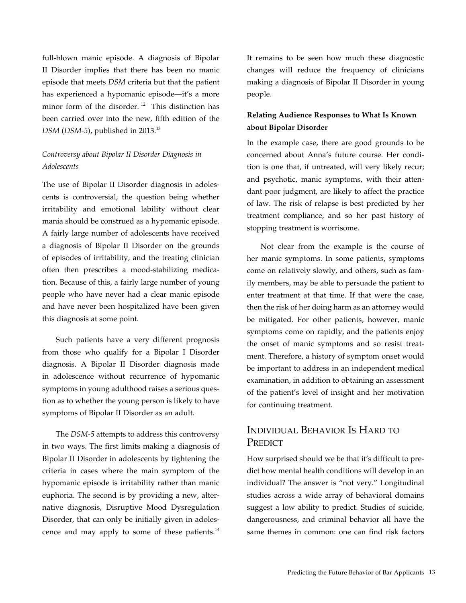full-blown manic episode. A diagnosis of Bipolar II Disorder implies that there has been no manic episode that meets *DSM* criteria but that the patient has experienced a hypomanic episode—it's a more minor form of the disorder.<sup>12</sup> This distinction has been carried over into the new, fifth edition of the *DSM* (*DSM-5*), published in 2013.13

## *Controversy about Bipolar II Disorder Diagnosis in Adolescents*

The use of Bipolar II Disorder diagnosis in adolescents is controversial, the question being whether irritability and emotional lability without clear mania should be construed as a hypomanic episode. A fairly large number of adolescents have received a diagnosis of Bipolar II Disorder on the grounds of episodes of irritability, and the treating clinician often then prescribes a mood-stabilizing medication. Because of this, a fairly large number of young people who have never had a clear manic episode and have never been hospitalized have been given this diagnosis at some point.

Such patients have a very different prognosis from those who qualify for a Bipolar I Disorder diagnosis. A Bipolar II Disorder diagnosis made in adolescence without recurrence of hypomanic symptoms in young adulthood raises a serious question as to whether the young person is likely to have symptoms of Bipolar II Disorder as an adult.

The *DSM-5* attempts to address this controversy in two ways. The first limits making a diagnosis of Bipolar II Disorder in adolescents by tightening the criteria in cases where the main symptom of the hypomanic episode is irritability rather than manic euphoria. The second is by providing a new, alternative diagnosis, Disruptive Mood Dysregulation Disorder, that can only be initially given in adolescence and may apply to some of these patients.<sup>14</sup>

It remains to be seen how much these diagnostic changes will reduce the frequency of clinicians making a diagnosis of Bipolar II Disorder in young people.

## **Relating Audience Responses to What Is Known about Bipolar Disorder**

In the example case, there are good grounds to be concerned about Anna's future course. Her condition is one that, if untreated, will very likely recur; and psychotic, manic symptoms, with their attendant poor judgment, are likely to affect the practice of law. The risk of relapse is best predicted by her treatment compliance, and so her past history of stopping treatment is worrisome.

Not clear from the example is the course of her manic symptoms. In some patients, symptoms come on relatively slowly, and others, such as family members, may be able to persuade the patient to enter treatment at that time. If that were the case, then the risk of her doing harm as an attorney would be mitigated. For other patients, however, manic symptoms come on rapidly, and the patients enjoy the onset of manic symptoms and so resist treatment. Therefore, a history of symptom onset would be important to address in an independent medical examination, in addition to obtaining an assessment of the patient's level of insight and her motivation for continuing treatment.

## Individual Behavior Is Hard to PREDICT

How surprised should we be that it's difficult to predict how mental health conditions will develop in an individual? The answer is "not very." Longitudinal studies across a wide array of behavioral domains suggest a low ability to predict. Studies of suicide, dangerousness, and criminal behavior all have the same themes in common: one can find risk factors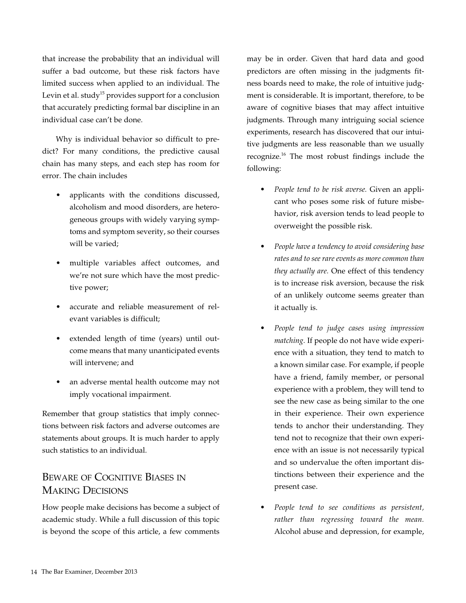that increase the probability that an individual will suffer a bad outcome, but these risk factors have limited success when applied to an individual. The Levin et al. study<sup>15</sup> provides support for a conclusion that accurately predicting formal bar discipline in an individual case can't be done.

Why is individual behavior so difficult to predict? For many conditions, the predictive causal chain has many steps, and each step has room for error. The chain includes

- applicants with the conditions discussed, alcoholism and mood disorders, are heterogeneous groups with widely varying symptoms and symptom severity, so their courses will be varied;
- • multiple variables affect outcomes, and we're not sure which have the most predictive power;
- accurate and reliable measurement of relevant variables is difficult;
- • extended length of time (years) until outcome means that many unanticipated events will intervene; and
- an adverse mental health outcome may not imply vocational impairment.

Remember that group statistics that imply connections between risk factors and adverse outcomes are statements about groups. It is much harder to apply such statistics to an individual.

## Beware of Cognitive Biases in Making Decisions

How people make decisions has become a subject of academic study. While a full discussion of this topic is beyond the scope of this article, a few comments

may be in order. Given that hard data and good predictors are often missing in the judgments fitness boards need to make, the role of intuitive judgment is considerable. It is important, therefore, to be aware of cognitive biases that may affect intuitive judgments. Through many intriguing social science experiments, research has discovered that our intuitive judgments are less reasonable than we usually recognize.16 The most robust findings include the following:

- *• People tend to be risk averse.* Given an applicant who poses some risk of future misbehavior, risk aversion tends to lead people to overweight the possible risk.
- *• People have a tendency to avoid considering base rates and to see rare events as more common than they actually are.* One effect of this tendency is to increase risk aversion, because the risk of an unlikely outcome seems greater than it actually is.
- *People tend to judge cases using impression matching.* If people do not have wide experience with a situation, they tend to match to a known similar case. For example, if people have a friend, family member, or personal experience with a problem, they will tend to see the new case as being similar to the one in their experience. Their own experience tends to anchor their understanding. They tend not to recognize that their own experience with an issue is not necessarily typical and so undervalue the often important distinctions between their experience and the present case.
- *• People tend to see conditions as persistent, rather than regressing toward the mean.*  Alcohol abuse and depression, for example,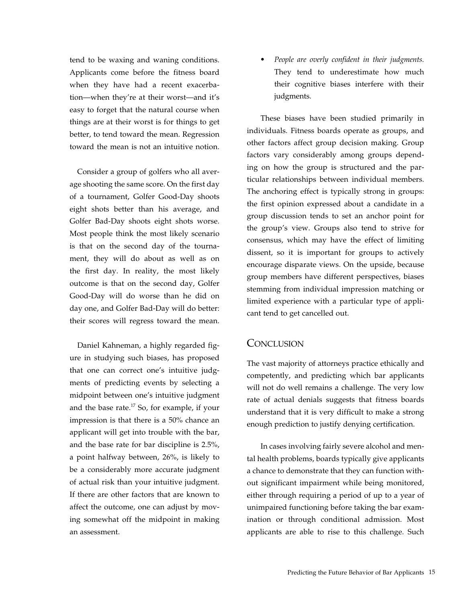tend to be waxing and waning conditions. Applicants come before the fitness board when they have had a recent exacerbation—when they're at their worst—and it's easy to forget that the natural course when things are at their worst is for things to get better, to tend toward the mean. Regression toward the mean is not an intuitive notion.

Consider a group of golfers who all average shooting the same score. On the first day of a tournament, Golfer Good-Day shoots eight shots better than his average, and Golfer Bad-Day shoots eight shots worse. Most people think the most likely scenario is that on the second day of the tournament, they will do about as well as on the first day. In reality, the most likely outcome is that on the second day, Golfer Good-Day will do worse than he did on day one, and Golfer Bad-Day will do better: their scores will regress toward the mean.

Daniel Kahneman, a highly regarded figure in studying such biases, has proposed that one can correct one's intuitive judgments of predicting events by selecting a midpoint between one's intuitive judgment and the base rate. $^{17}$  So, for example, if your impression is that there is a 50% chance an applicant will get into trouble with the bar, and the base rate for bar discipline is 2.5%, a point halfway between, 26%, is likely to be a considerably more accurate judgment of actual risk than your intuitive judgment. If there are other factors that are known to affect the outcome, one can adjust by moving somewhat off the midpoint in making an assessment.

*People are overly confident in their judgments.* They tend to underestimate how much their cognitive biases interfere with their judgments.

These biases have been studied primarily in individuals. Fitness boards operate as groups, and other factors affect group decision making. Group factors vary considerably among groups depending on how the group is structured and the particular relationships between individual members. The anchoring effect is typically strong in groups: the first opinion expressed about a candidate in a group discussion tends to set an anchor point for the group's view. Groups also tend to strive for consensus, which may have the effect of limiting dissent, so it is important for groups to actively encourage disparate views. On the upside, because group members have different perspectives, biases stemming from individual impression matching or limited experience with a particular type of applicant tend to get cancelled out.

## **CONCLUSION**

The vast majority of attorneys practice ethically and competently, and predicting which bar applicants will not do well remains a challenge. The very low rate of actual denials suggests that fitness boards understand that it is very difficult to make a strong enough prediction to justify denying certification.

In cases involving fairly severe alcohol and mental health problems, boards typically give applicants a chance to demonstrate that they can function without significant impairment while being monitored, either through requiring a period of up to a year of unimpaired functioning before taking the bar examination or through conditional admission. Most applicants are able to rise to this challenge. Such